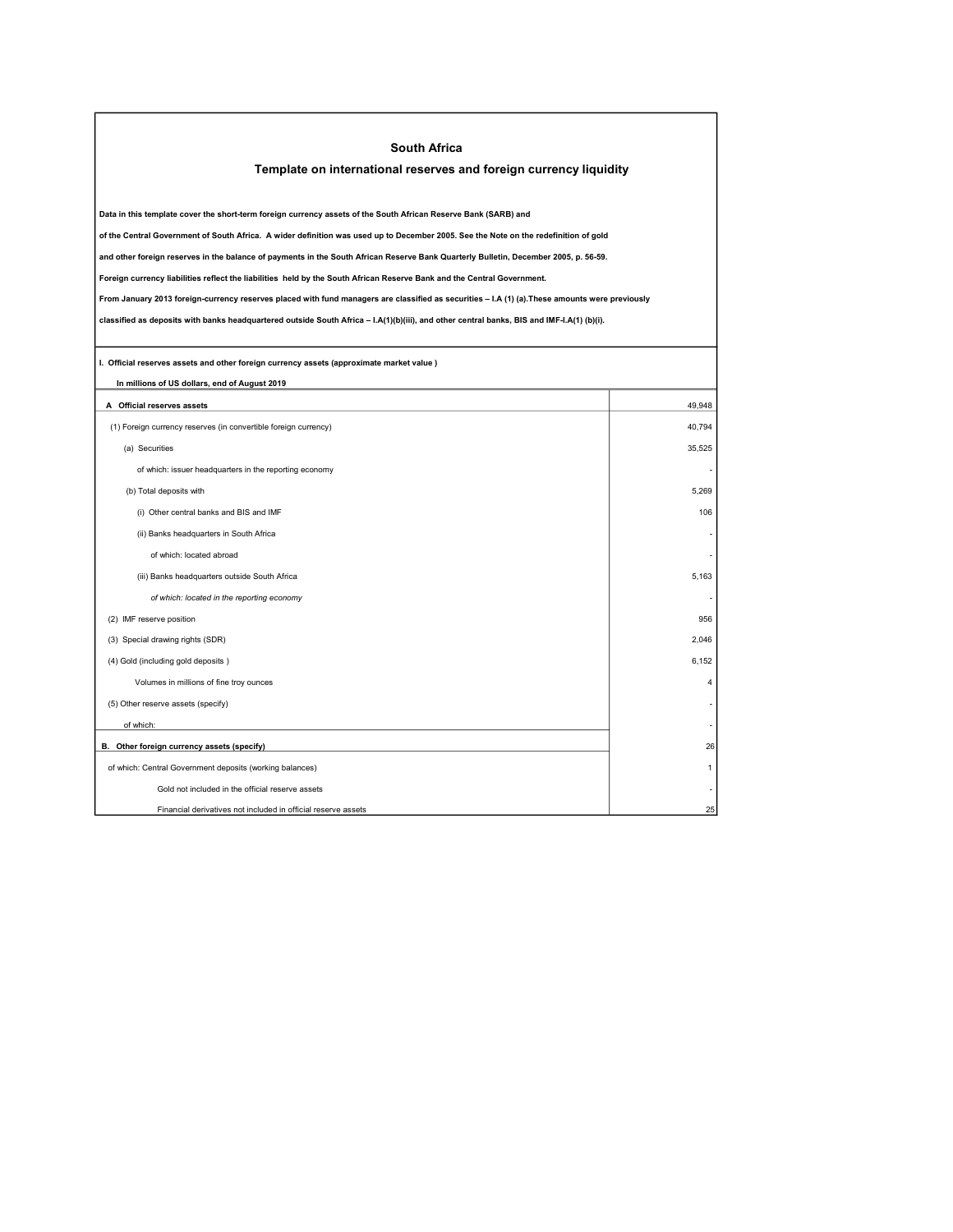| <b>South Africa</b>                                                                                                                             |        |  |  |  |
|-------------------------------------------------------------------------------------------------------------------------------------------------|--------|--|--|--|
| Template on international reserves and foreign currency liquidity                                                                               |        |  |  |  |
|                                                                                                                                                 |        |  |  |  |
| Data in this template cover the short-term foreign currency assets of the South African Reserve Bank (SARB) and                                 |        |  |  |  |
| of the Central Government of South Africa. A wider definition was used up to December 2005. See the Note on the redefinition of gold            |        |  |  |  |
| and other foreign reserves in the balance of payments in the South African Reserve Bank Quarterly Bulletin, December 2005, p. 56-59.            |        |  |  |  |
| Foreign currency liabilities reflect the liabilities held by the South African Reserve Bank and the Central Government.                         |        |  |  |  |
| From January 2013 foreign-currency reserves placed with fund managers are classified as securities - I.A (1) (a). These amounts were previously |        |  |  |  |
| classified as deposits with banks headquartered outside South Africa - I.A(1)(b)(iii), and other central banks, BIS and IMF-I.A(1) (b)(i).      |        |  |  |  |
|                                                                                                                                                 |        |  |  |  |
| I. Official reserves assets and other foreign currency assets (approximate market value)                                                        |        |  |  |  |
| In millions of US dollars, end of August 2019                                                                                                   |        |  |  |  |
| A Official reserves assets                                                                                                                      | 49,948 |  |  |  |
| (1) Foreign currency reserves (in convertible foreign currency)                                                                                 | 40,794 |  |  |  |
| (a) Securities                                                                                                                                  | 35,525 |  |  |  |
| of which: issuer headquarters in the reporting economy                                                                                          |        |  |  |  |
| (b) Total deposits with                                                                                                                         | 5,269  |  |  |  |
| (i) Other central banks and BIS and IMF                                                                                                         | 106    |  |  |  |
| (ii) Banks headquarters in South Africa                                                                                                         |        |  |  |  |
| of which: located abroad                                                                                                                        |        |  |  |  |
| (iii) Banks headquarters outside South Africa                                                                                                   | 5.163  |  |  |  |
| of which: located in the reporting economy                                                                                                      |        |  |  |  |
| (2) IMF reserve position                                                                                                                        | 956    |  |  |  |
| (3) Special drawing rights (SDR)                                                                                                                | 2,046  |  |  |  |
| (4) Gold (including gold deposits)                                                                                                              | 6,152  |  |  |  |
| Volumes in millions of fine troy ounces                                                                                                         | 4      |  |  |  |
| (5) Other reserve assets (specify)                                                                                                              |        |  |  |  |
| of which:                                                                                                                                       |        |  |  |  |
| B. Other foreign currency assets (specify)                                                                                                      | 26     |  |  |  |
| of which: Central Government deposits (working balances)                                                                                        | 1      |  |  |  |
| Gold not included in the official reserve assets                                                                                                |        |  |  |  |
| Financial derivatives not included in official reserve assets                                                                                   | 25     |  |  |  |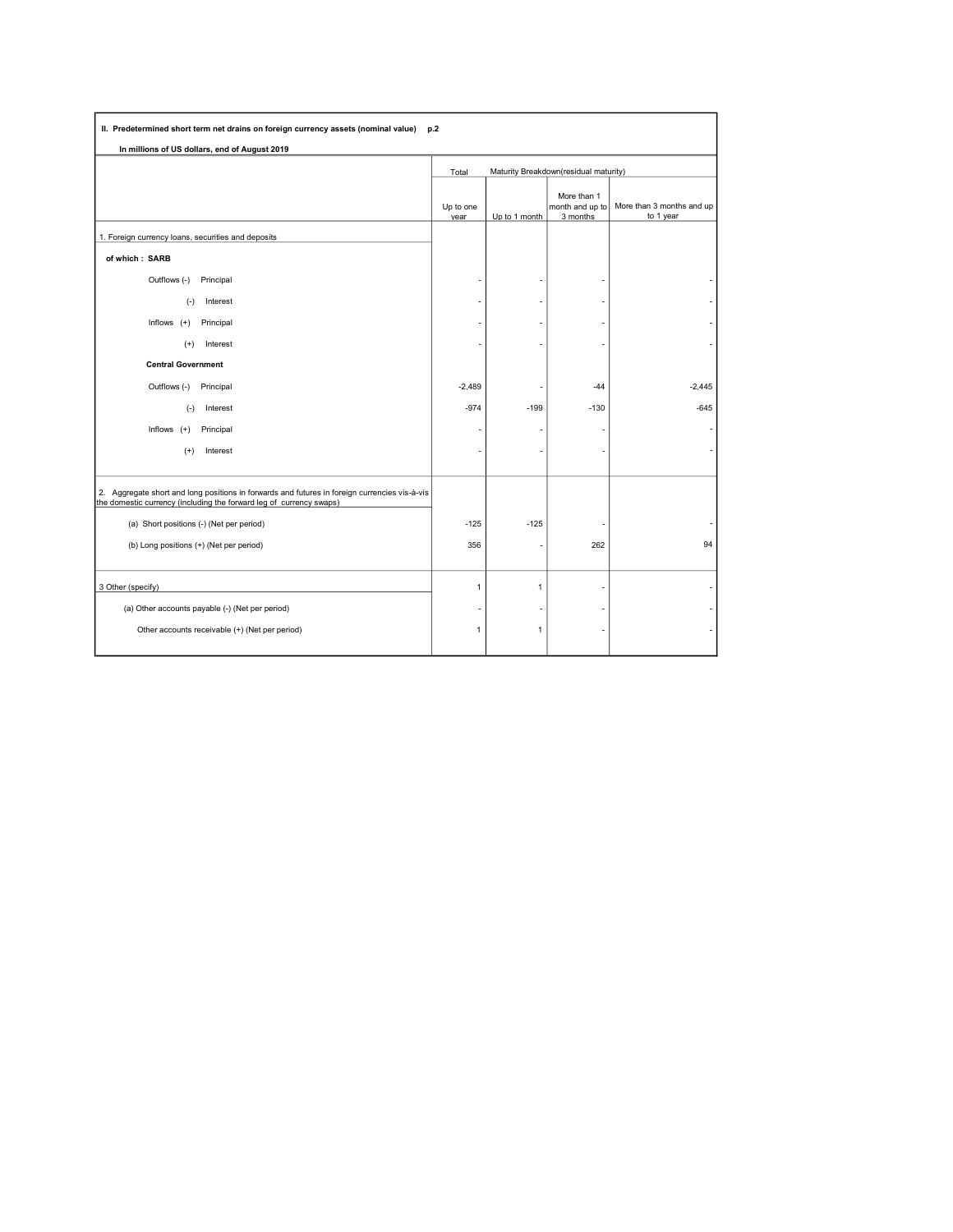| II. Predetermined short term net drains on foreign currency assets (nominal value) p.2                                                                               |                   |                                       |                                            |                                        |
|----------------------------------------------------------------------------------------------------------------------------------------------------------------------|-------------------|---------------------------------------|--------------------------------------------|----------------------------------------|
| In millions of US dollars, end of August 2019                                                                                                                        |                   |                                       |                                            |                                        |
|                                                                                                                                                                      | Total             | Maturity Breakdown(residual maturity) |                                            |                                        |
|                                                                                                                                                                      | Up to one<br>year | Up to 1 month                         | More than 1<br>month and up to<br>3 months | More than 3 months and up<br>to 1 year |
| 1. Foreign currency loans, securities and deposits                                                                                                                   |                   |                                       |                                            |                                        |
| of which: SARB                                                                                                                                                       |                   |                                       |                                            |                                        |
| Outflows (-)<br>Principal                                                                                                                                            |                   |                                       |                                            |                                        |
| $(-)$<br>Interest                                                                                                                                                    |                   |                                       |                                            |                                        |
| Inflows $(+)$<br>Principal                                                                                                                                           |                   |                                       |                                            |                                        |
| Interest<br>$^{(+)}$                                                                                                                                                 |                   |                                       |                                            |                                        |
| <b>Central Government</b>                                                                                                                                            |                   |                                       |                                            |                                        |
| Outflows (-)<br>Principal                                                                                                                                            | $-2,489$          |                                       | $-44$                                      | $-2,445$                               |
| Interest<br>$(\cdot)$                                                                                                                                                | $-974$            | $-199$                                | $-130$                                     | $-645$                                 |
| Inflows $(+)$<br>Principal                                                                                                                                           |                   |                                       |                                            |                                        |
| $(+)$<br>Interest                                                                                                                                                    |                   |                                       |                                            |                                        |
|                                                                                                                                                                      |                   |                                       |                                            |                                        |
| 2. Aggregate short and long positions in forwards and futures in foreign currencies vis-à-vis<br>the domestic currency (including the forward leg of currency swaps) |                   |                                       |                                            |                                        |
| (a) Short positions (-) (Net per period)                                                                                                                             | $-125$            | $-125$                                |                                            |                                        |
| (b) Long positions (+) (Net per period)                                                                                                                              | 356               |                                       | 262                                        | 94                                     |
|                                                                                                                                                                      |                   |                                       |                                            |                                        |
| 3 Other (specify)                                                                                                                                                    | $\mathbf{1}$      | 1                                     |                                            |                                        |
| (a) Other accounts payable (-) (Net per period)                                                                                                                      |                   |                                       |                                            |                                        |
| Other accounts receivable (+) (Net per period)                                                                                                                       | $\overline{1}$    | 1                                     |                                            |                                        |
|                                                                                                                                                                      |                   |                                       |                                            |                                        |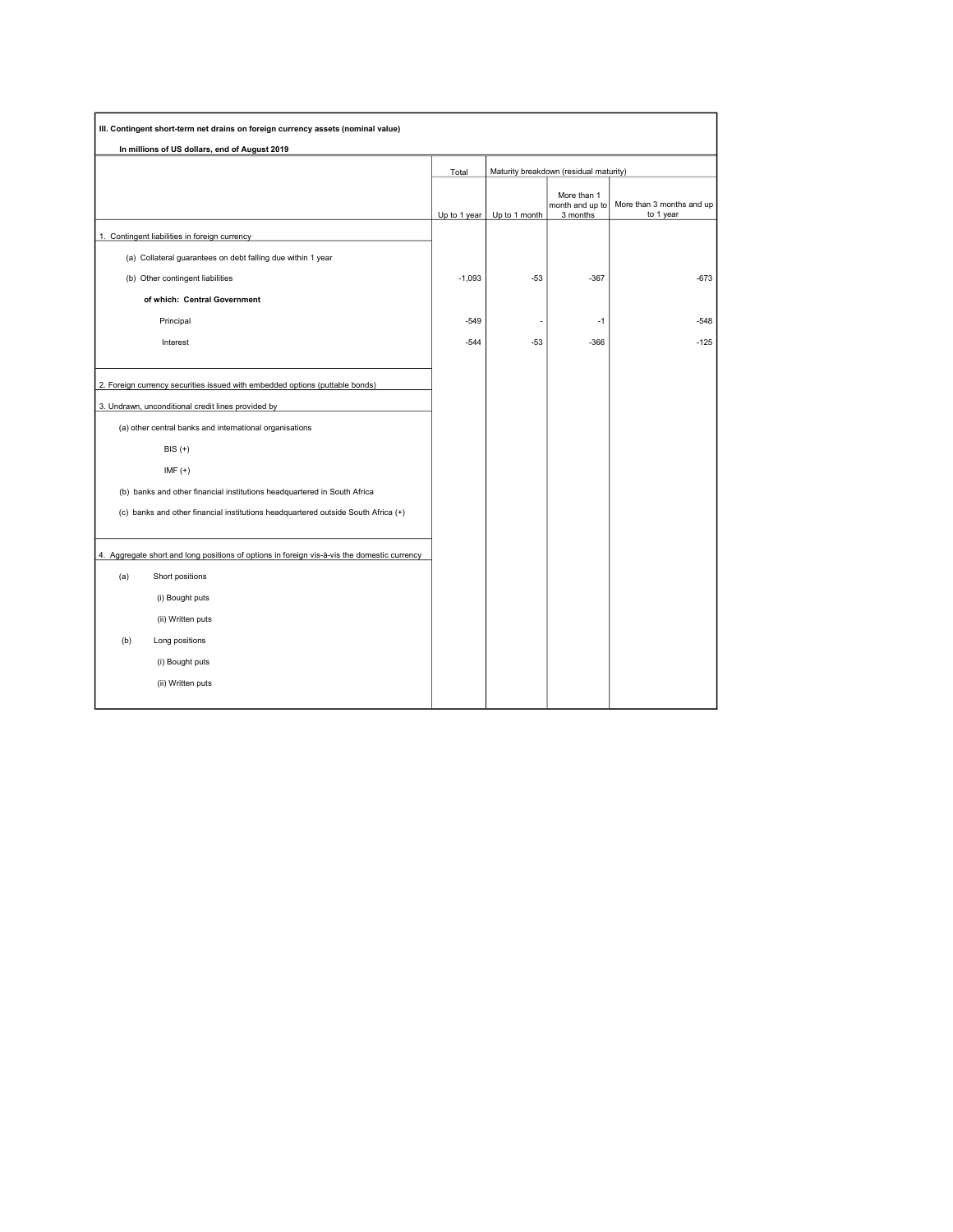| III. Contingent short-term net drains on foreign currency assets (nominal value)            |              |                                        |                                            |                                        |
|---------------------------------------------------------------------------------------------|--------------|----------------------------------------|--------------------------------------------|----------------------------------------|
| In millions of US dollars, end of August 2019                                               |              |                                        |                                            |                                        |
|                                                                                             | Total        | Maturity breakdown (residual maturity) |                                            |                                        |
|                                                                                             | Up to 1 year | Up to 1 month                          | More than 1<br>month and up to<br>3 months | More than 3 months and up<br>to 1 year |
| 1. Contingent liabilities in foreign currency                                               |              |                                        |                                            |                                        |
| (a) Collateral guarantees on debt falling due within 1 year                                 |              |                                        |                                            |                                        |
| (b) Other contingent liabilities                                                            | $-1,093$     | $-53$                                  | $-367$                                     | $-673$                                 |
| of which: Central Government                                                                |              |                                        |                                            |                                        |
| Principal                                                                                   | $-549$       |                                        | $-1$                                       | $-548$                                 |
| Interest                                                                                    | $-544$       | $-53$                                  | $-366$                                     | $-125$                                 |
|                                                                                             |              |                                        |                                            |                                        |
| 2. Foreign currency securities issued with embedded options (puttable bonds)                |              |                                        |                                            |                                        |
| 3. Undrawn, unconditional credit lines provided by                                          |              |                                        |                                            |                                        |
| (a) other central banks and international organisations                                     |              |                                        |                                            |                                        |
| $BIS (+)$                                                                                   |              |                                        |                                            |                                        |
| IMF $(+)$                                                                                   |              |                                        |                                            |                                        |
| (b) banks and other financial institutions headquartered in South Africa                    |              |                                        |                                            |                                        |
| (c) banks and other financial institutions headquartered outside South Africa (+)           |              |                                        |                                            |                                        |
|                                                                                             |              |                                        |                                            |                                        |
| 4. Aggregate short and long positions of options in foreign vis-à-vis the domestic currency |              |                                        |                                            |                                        |
| (a)<br>Short positions                                                                      |              |                                        |                                            |                                        |
| (i) Bought puts                                                                             |              |                                        |                                            |                                        |
| (ii) Written puts                                                                           |              |                                        |                                            |                                        |
| (b)<br>Long positions                                                                       |              |                                        |                                            |                                        |
| (i) Bought puts                                                                             |              |                                        |                                            |                                        |
| (ii) Written puts                                                                           |              |                                        |                                            |                                        |
|                                                                                             |              |                                        |                                            |                                        |